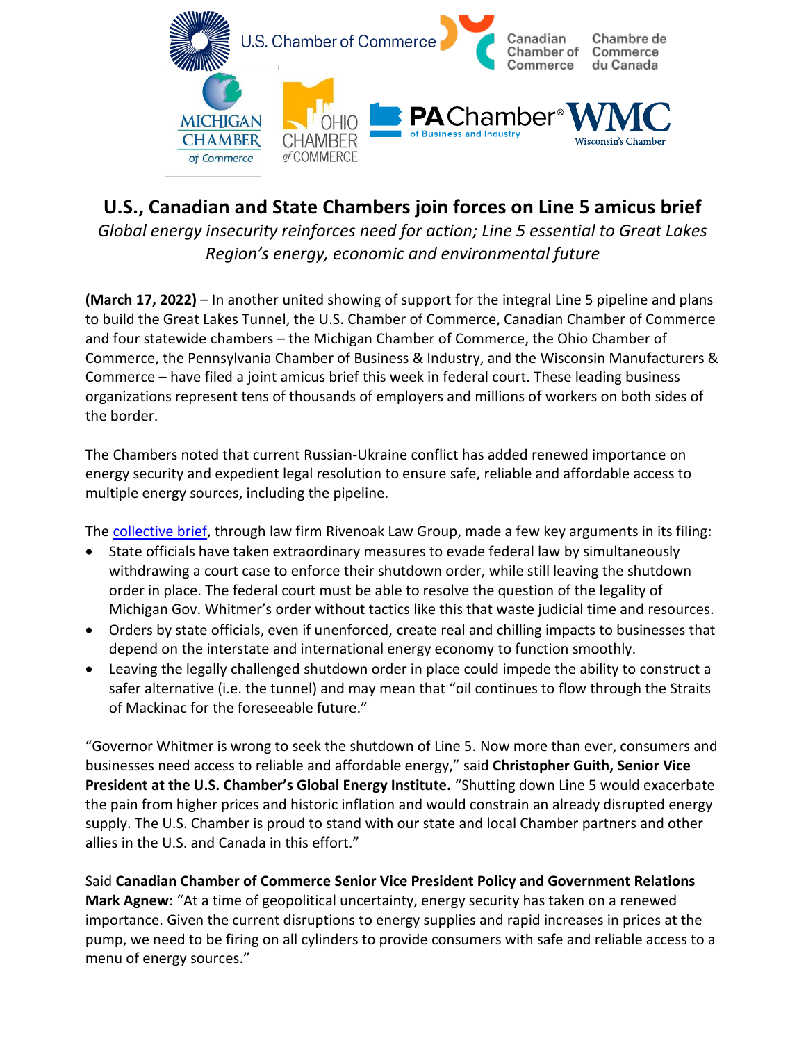

## **U.S., Canadian and State Chambers join forces on Line 5 amicus brief**

*Global energy insecurity reinforces need for action; Line 5 essential to Great Lakes Region's energy, economic and environmental future*

**(March 17, 2022)** – In another united showing of support for the integral Line 5 pipeline and plans to build the Great Lakes Tunnel, the U.S. Chamber of Commerce, Canadian Chamber of Commerce and four statewide chambers – the Michigan Chamber of Commerce, the Ohio Chamber of Commerce, the Pennsylvania Chamber of Business & Industry, and the Wisconsin Manufacturers & Commerce – have filed a joint amicus brief this week in federal court. These leading business organizations represent tens of thousands of employers and millions of workers on both sides of the border.

The Chambers noted that current Russian-Ukraine conflict has added renewed importance on energy security and expedient legal resolution to ensure safe, reliable and affordable access to multiple energy sources, including the pipeline.

Th[e collective brief,](https://www.michamber.com/wp-content/uploads/2022/03/Chambers-Amicus-Brief_11th-Amendment_FILEVERSION.pdf) through law firm Rivenoak Law Group, made a few key arguments in its filing:

- State officials have taken extraordinary measures to evade federal law by simultaneously withdrawing a court case to enforce their shutdown order, while still leaving the shutdown order in place. The federal court must be able to resolve the question of the legality of Michigan Gov. Whitmer's order without tactics like this that waste judicial time and resources.
- Orders by state officials, even if unenforced, create real and chilling impacts to businesses that depend on the interstate and international energy economy to function smoothly.
- Leaving the legally challenged shutdown order in place could impede the ability to construct a safer alternative (i.e. the tunnel) and may mean that "oil continues to flow through the Straits of Mackinac for the foreseeable future."

"Governor Whitmer is wrong to seek the shutdown of Line 5. Now more than ever, consumers and businesses need access to reliable and affordable energy," said **Christopher Guith, Senior Vice President at the U.S. Chamber's Global Energy Institute.** "Shutting down Line 5 would exacerbate the pain from higher prices and historic inflation and would constrain an already disrupted energy supply. The U.S. Chamber is proud to stand with our state and local Chamber partners and other allies in the U.S. and Canada in this effort."

Said **Canadian Chamber of Commerce Senior Vice President Policy and Government Relations Mark Agnew**: "At a time of geopolitical uncertainty, energy security has taken on a renewed importance. Given the current disruptions to energy supplies and rapid increases in prices at the pump, we need to be firing on all cylinders to provide consumers with safe and reliable access to a menu of energy sources."